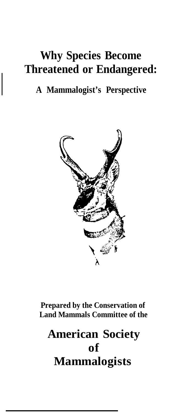# **Why Species Become Threatened or Endangered:**

# **A Mammalogist's Perspective**



**Prepared by the Conservation of Land Mammals Committee of the**

# **American Society of Mammalogists**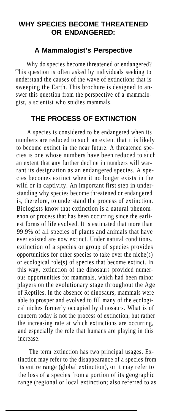## **WHY SPECIES BECOME THREATENED OR ENDANGERED:**

#### **A Mammalogist's Perspective**

Why do species become threatened or endangered? This question is often asked by individuals seeking to understand the causes of the wave of extinctions that is sweeping the Earth. This brochure is designed to answer this question from the perspective of a mammalogist, a scientist who studies mammals.

#### **THE PROCESS OF EXTINCTION**

A species is considered to be endangered when its numbers are reduced to such an extent that it is likely to become extinct in the near future. A threatened species is one whose numbers have been reduced to such an extent that any further decline in numbers will warrant its designation as an endangered species. A species becomes extinct when it no longer exists in the wild or in captivity. An important first step in understanding why species become threatened or endangered is, therefore, to understand the process of extinction. Biologists know that extinction is a natural phenomenon or process that has been occurring since the earliest forms of life evolved. It is estimated that more than 99.9% of all species of plants and animals that have ever existed are now extinct. Under natural conditions, extinction of a species or group of species provides opportunities for other species to take over the niche(s) or ecological role(s) of species that become extinct. In this way, extinction of the dinosaurs provided numerous opportunities for mammals, which had been minor players on the evolutionary stage throughout the Age of Reptiles. In the absence of dinosaurs, mammals were able to prosper and evolved to fill many of the ecological niches formerly occupied by dinosaurs. What is of concern today is not the process of extinction, but rather the increasing rate at which extinctions are occurring, and especially the role that humans are playing in this increase.

The term extinction has two principal usages. Extinction may refer to the disappearance of a species from its entire range (global extinction), or it may refer to the loss of a species from a portion of its geographic range (regional or local extinction; also referred to as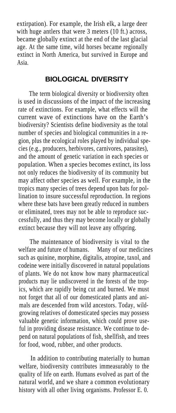extirpation). For example, the Irish elk, a large deer with huge antlers that were 3 meters (10 ft.) across, became globally extinct at the end of the last glacial age. At the same time, wild horses became regionally extinct in North America, but survived in Europe and Asia.

#### **BIOLOGICAL DIVERSITY**

The term biological diversity or biodiversity often is used in discussions of the impact of the increasing rate of extinctions. For example, what effects will the current wave of extinctions have on the Earth's biodiversity? Scientists define biodiversity as the total number of species and biological communities in a region, plus the ecological roles played by individual species (e.g., producers, herbivores, carnivores, parasites), and the amount of genetic variation in each species or population. When a species becomes extinct, its loss not only reduces the biodiversity of its community but may affect other species as well. For example, in the tropics many species of trees depend upon bats for pollination to insure successful reproduction. In regions where these bats have been greatly reduced in numbers or eliminated, trees may not be able to reproduce successfully, and thus they may become locally or globally extinct because they will not leave any offspring.

The maintenance of biodiversity is vital to the are and future of humans. Many of our medicines welfare and future of humans. such as quinine, morphine, digitalis, atropine, taxol, and codeine were initially discovered in natural populations of plants. We do not know how many pharmaceutical products may lie undiscovered in the forests of the tropics, which are rapidly being cut and burned. We must not forget that all of our domesticated plants and animals are descended from wild ancestors. Today, wildgrowing relatives of domesticated species may possess valuable genetic information, which could prove useful in providing disease resistance. We continue to depend on natural populations of fish, shellfish, and trees for food, wood, rubber, and other products.

In addition to contributing materially to human welfare, biodiversity contributes immeasurably to the quality of life on earth. Humans evolved as part of the natural world, and we share a common evolutionary history with all other living organisms. Professor E. 0.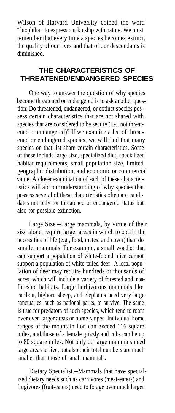Wilson of Harvard University coined the word "biophilia" to express our kinship with nature. We must remember that every time a species becomes extinct, the quality of our lives and that of our descendants is diminished.

### **THE CHARACTERISTICS OF THREATENED/ENDANGERED SPECIES**

One way to answer the question of why species become threatened or endangered is to ask another question: Do threatened, endangered, or extinct species possess certain characteristics that are not shared with species that are considered to be secure (i.e., not threatened or endangered)? If we examine a list of threatened or endangered species, we will find that many species on that list share certain characteristics. Some of these include large size, specialized diet, specialized habitat requirements, small population size, limited geographic distribution, and economic or commercial value. A closer examination of each of these characteristics will aid our understanding of why species that possess several of these characteristics often are candidates not only for threatened or endangered status but also for possible extinction.

Large Size.--Large mammals, by virtue of their size alone, require larger areas in which to obtain the necessities of life (e.g., food, mates, and cover) than do smaller mammals. For example, a small woodlot that can support a population of white-footed mice cannot support a population of white-tailed deer. A local population of deer may require hundreds or thousands of acres, which will include a variety of forested and nonforested habitats. Large herbivorous mammals like caribou, bighorn sheep, and elephants need very large sanctuaries, such as national parks, to survive. The same is true for predators of such species, which tend to roam over even larger areas or home ranges. Individual home ranges of the mountain lion can exceed 116 square miles, and those of a female grizzly and cubs can be up to 80 square miles. Not only do large mammals need large areas to live, but also their total numbers are much smaller than those of small mammals.

Dietary Specialist.--Mammals that have specialized dietary needs such as carnivores (meat-eaters) and frugivores (fruit-eaters) need to forage over much larger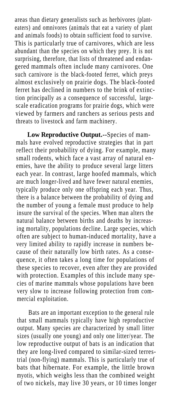areas than dietary generalists such as herbivores (planteaters) and omnivores (animals that eat a variety of plant and animals foods) to obtain sufficient food to survive. This is particularly true of carnivores, which are less abundant than the species on which they prey. It is not surprising, therefore, that lists of threatened and endangered mammals often include many carnivores. One such carnivore is the black-footed ferret, which preys almost exclusively on prairie dogs. The black-footed ferret has declined in numbers to the brink of extinction principally as a consequence of successful, largescale eradication programs for prairie dogs, which were viewed by farmers and ranchers as serious pests and threats to livestock and farm machinery.

**Low Reproductive Output.--**Species of mammals have evolved reproductive strategies that in part reflect their probability of dying. For example, many small rodents, which face a vast array of natural enemies, have the ability to produce several large litters each year. In contrast, large hoofed mammals, which are much longer-lived and have fewer natural enemies, typically produce only one offspring each year. Thus, there is a balance between the probability of dying and the number of young a female must produce to help insure the survival of the species. When man alters the natural balance between births and deaths by increasing mortality, populations decline. Large species, which often are subject to human-induced mortality, have a very limited ability to rapidly increase in numbers because of their naturally low birth rates. As a consequence, it often takes a long time for populations of these species to recover, even after they are provided with protection. Examples of this include many species of marine mammals whose populations have been very slow to increase following protection from commercial exploitation.

Bats are an important exception to the general rule that small mammals typically have high reproductive output. Many species are characterized by small litter sizes (usually one young) and only one litter/year. The low reproductive output of bats is an indication that they are long-lived compared to similar-sized terrestrial (non-flying) mammals. This is particularly true of bats that hibernate. For example, the little brown myotis, which weighs less than the combined weight of two nickels, may live 30 years, or 10 times longer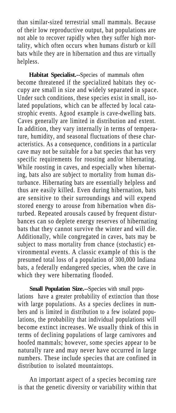than similar-sized terrestrial small mammals. Because of their low reproductive output, bat populations are not able to recover rapidly when they suffer high mortality, which often occurs when humans disturb or kill bats while they are in hibernation and thus are virtually helpless.

**Habitat Specialist.--**Species of mammals often become threatened if the specialized habitats they occupy are small in size and widely separated in space. Under such conditions, these species exist in small, isolated populations, which can be affected by local catastrophic events. Agood example is cave-dwelling bats. Caves generally are limited in distribution and extent. In addition, they vary internally in terms of temperature, humidity, and seasonal fluctuations of these characteristics. As a consequence, conditions in a particular cave may not be suitable for a bat species that has very specific requirements for roosting and/or hibernating. While roosting in caves, and especially when hibernating, bats also are subject to mortality from human disturbance. Hibernating bats are essentially helpless and thus are easily killed. Even during hibernation, bats are sensitive to their surroundings and will expend stored energy to arouse from hibernation when disturbed. Repeated arousals caused by frequent disturbances can so deplete energy reserves of hibernating bats that they cannot survive the winter and will die. Additionally, while congregated in caves, bats may be subject to mass mortality from chance (stochastic) environmental events. A classic example of this is the presumed total loss of a population of 300,000 Indiana bats, a federally endangered species, when the cave in which they were hibernating flooded.

**Small Population Size.--**Species with small populations have a greater probability of extinction than those with large populations. As a species declines in numbers and is limited in distribution to a few isolated populations, the probability that individual populations will become extinct increases. We usually think of this in terms of declining populations of large carnivores and hoofed mammals; however, some species appear to be naturally rare and may never have occurred in large numbers. These include species that are confined in distribution to isolated mountaintops.

An important aspect of a species becoming rare is that the genetic diversity or variability within that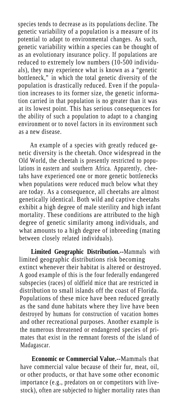species tends to decrease as its populations decline. The genetic variability of a population is a measure of its potential to adapt to environmental changes. As such, genetic variability within a species can be thought of as an evolutionary insurance policy. If populations are reduced to extremely low numbers (10-500 individuals), they may experience what is known as a "genetic bottleneck," in which the total genetic diversity of the population is drastically reduced. Even if the population increases to its former size, the genetic information carried in that population is no greater than it was at its lowest point. This has serious consequences for the ability of such a population to adapt to a changing environment or to novel factors in its environment such as a new disease.

An example of a species with greatly reduced genetic diversity is the cheetah. Once widespread in the Old World, the cheetah is presently restricted to populations in eastern and southern Africa. Apparently, cheetahs have experienced one or more genetic bottlenecks when populations were reduced much below what they are today. As a consequence, all cheetahs are almost genetically identical. Both wild and captive cheetahs exhibit a high degree of male sterility and high infant mortality. These conditions are attributed to the high degree of genetic similarity among individuals, and what amounts to a high degree of inbreeding (mating between closely related individuals).

Limited Geographic Distribution.--Mammals with limited geographic distributions risk becoming extinct whenever their habitat is altered or destroyed. A good example of this is the four federally endangered subspecies (races) of oldfield mice that are restricted in distribution to small islands off the coast of Florida. Populations of these mice have been reduced greatly as the sand dune habitats where they live have been destroyed by humans for construction of vacation homes and other recreational purposes. Another example is the numerous threatened or endangered species of primates that exist in the remnant forests of the island of Madagascar.

> **Economic or Commercial Value.--**Mammals that have commercial value because of their fur, meat, oil, or other products, or that have some other economic importance (e.g., predators on or competitors with livestock), often are subjected to higher mortality rates than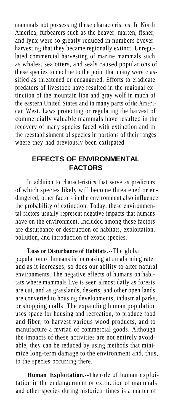mammals not possessing these characteristics. In North America, furbearers such as the beaver, marten, fisher, and lynx were so greatly reduced in numbers byoverharvesting that they became regionally extinct. Unregulated commercial harvesting of marine mammals such as whales, sea otters, and seals caused populations of these species to decline to the point that many were classified as threatened or endangered. Efforts to eradicate predators of livestock have resulted in the regional extinction of the mountain lion and gray wolf in much of the eastern United States and in many parts of the American West. Laws protecting or regulating the harvest of commercially valuable mammals have resulted in the recovery of many species faced with extinction and in the reestablishment of species in portions of their ranges where they had previously been extirpated.

#### **EFFECTS OF ENVIRONMENTAL FACTORS**

In addition to characteristics that serve as predictors of which species likely will become threatened or endangered, other factors in the environment also influence the probability of extinction. Today, these environmental factors usually represent negative impacts that humans have on the environment. Included among these factors are disturbance or destruction of habitats, exploitation, pollution, and introduction of exotic species.

**Loss or Disturbance of Habitats.--**The global population of humans is increasing at an alarming rate, and as it increases, so does our ability to alter natural environments. The negative effects of humans on habitats where mammals live is seen almost daily as forests are cut, and as grasslands, deserts, and other open lands are converted to housing developments, industrial parks, or shopping malls. The expanding human population uses space for housing and recreation, to produce food and fiber, to harvest various wood products, and to manufacture a myriad of commercial goods. Although the impacts of these activities are not entirely avoidable, they can be reduced by using methods that minimize long-term damage to the environment and, thus, to the species occurring there.

**Human Exploitation.--**The role of human exploitation in the endangerment or extinction of mammals and other species during historical times is a matter of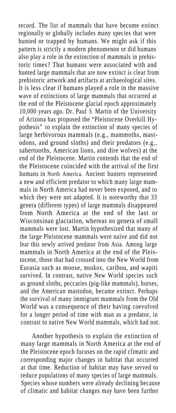record. The list of mammals that have become extinct regionally or globally includes many species that were hunted or trapped by humans. We might ask if this pattern is strictly a modern phenomenon or did humans also play a role in the extinction of mammals in prehistoric times? That humans were associated with and hunted large mammals that are now extinct is clear from prehistoric artwork and artifacts at archaeological sites. It is less clear if humans played a role in the massive wave of extinctions of large mammals that occurred at the end of the Pleistocene glacial epoch approximately 10,000 years ago. Dr. Paul S. Martin of the University of Arizona has proposed the "Pleistocene Overkill Hypothesis" to explain the extinction of many species of large herbivorous mammals (e.g., mammoths, mastodons, and ground sloths) and their predators (e.g., sabertooths, American lions, and dire wolves) at the end of the Pleistocene. Martin contends that the end of the Pleistocene coincided with the arrival of the first humans in North America. Ancient hunters represented a new and efficient predator to which many large mammals in North America had never been exposed, and to which they were not adapted. It is noteworthy that 33 genera (different types) of large mammals disappeared from North America at the end of the last or Wisconsinan glaciation, whereas no genera of small mammals were lost. Martin hypothesized that many of the large Pleistocene mammals were naive and did not fear this newly arrived predator from Asia. Among large mammals in North America at the end of the Pleistocene, those that had crossed into the New World from Eurasia such as moose, muskox, caribou, and wapiti survived. In contrast, native New World species such as ground sloths, peccaries (pig-like mammals), horses, and the American mastodon, became extinct. Perhaps the survival of many immigrant mammals from the Old World was a consequence of their having coevolved for a longer period of time with man as a predator, in contrast to native New World mammals, which had not.

Another hypothesis to explain the extinction of many large mammals in North America at the end of the Pleistocene epoch focuses on the rapid climatic and corresponding major changes in habitat that occurred at that time. Reduction of habitat may have served to reduce populations of many species of large mammals. Species whose numbers were already declining because of climatic and habitat changes may have been further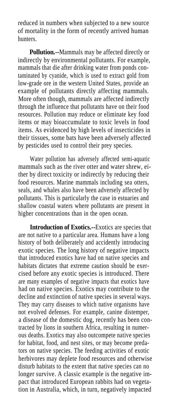reduced in numbers when subjected to a new source of mortality in the form of recently arrived human hunters.

**Pollution.--**Mammals may be affected directly or indirectly by environmental pollutants. For example, mammals that die after drinking water from ponds contaminated by cyanide, which is used to extract gold from low-grade ore in the western United States, provide an example of pollutants directly affecting mammals. More often though, mammals are affected indirectly through the influence that pollutants have on their food resources. Pollution may reduce or eliminate key food items or may bioaccumulate to toxic levels in food items. As evidenced by high levels of insecticides in their tissues, some bats have been adversely affected by pesticides used to control their prey species.

Water pollution has adversely affected semi-aquatic mammals such as the river otter and water shrew, either by direct toxicity or indirectly by reducing their food resources. Marine mammals including sea otters, seals, and whales also have been adversely affected by pollutants. This is particularly the case in estuaries and shallow coastal waters where pollutants are present in higher concentrations than in the open ocean.

**Introduction of Exotics.--**Exotics are species that are not native to a particular area. Humans have a long history of both deliberately and accidently introducing exotic species. The long history of negative impacts that introduced exotics have had on native species and habitats dictates that extreme caution should be exercised before any exotic species is introduced. There are many examples of negative impacts that exotics have had on native species. Exotics may contribute to the decline and extinction of native species in several ways. They may carry diseases to which native organisms have not evolved defenses. For example, canine distemper, a disease of the domestic dog, recently has been contracted by lions in southern Africa, resulting in numerous deaths. Exotics may also outcompete native species for habitat, food, and nest sites, or may become predators on native species. The feeding activities of exotic herbivores may deplete food resources and otherwise disturb habitats to the extent that native species can no longer survive. A classic example is the negative impact that introduced European rabbits had on vegetation in Australia, which, in turn, negatively impacted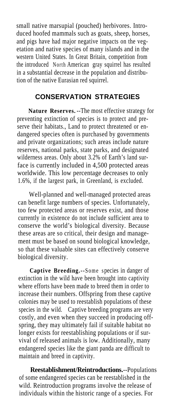small native marsupial (pouched) herbivores. Introduced hoofed mammals such as goats, sheep, horses, and pigs have had major negative impacts on the vegetation and native species of many islands and in the western United States. In Great Britain, competition from the introduced North American gray squirrel has resulted in a substantial decrease in the population and distribution of the native Eurasian red squirrel.

#### **CONSERVATION STRATEGIES**

**Nature Reserves.** --The most effective strategy for preventing extinction of species is to protect and preserve their habitats., Land to protect threatened or endangered species often is purchased by governments and private organizations; such areas include nature reserves, national parks, state parks, and designated wilderness areas. Only about 3.2% of Earth's land surface is currently included in 4,500 protected areas worldwide. This low percentage decreases to only 1.6%, if the largest park, in Greenland, is excluded.

Well-planned and well-managed protected areas can benefit large numbers of species. Unfortunately, too few protected areas or reserves exist, and those currently in existence do not include sufficient area to conserve the world's biological diversity. Because these areas are so critical, their design and management must be based on sound biological knowledge, so that these valuable sites can effectively conserve biological diversity.

**Captive Breeding.--**Some species in danger of extinction in the wild have been brought into captivity where efforts have been made to breed them in order to increase their numbers. Offspring from these captive colonies may be used to reestablish populations of these species in the wild. Captive breeding programs are very costly, and even when they succeed in producing offspring, they may ultimately fail if suitable habitat no longer exists for reestablishing populations or if survival of released animals is low. Additionally, many endangered species like the giant panda are difficult to maintain and breed in captivity.

**Reestablishment/Reintroductions.**--Populations of some endangered species can be reestablished in the wild. Reintroduction programs involve the release of individuals within the historic range of a species. For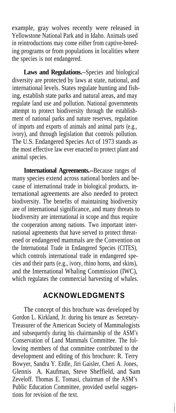example, gray wolves recently were released in Yellowstone National Park and in Idaho. Animals used in reintroductions may come either from captive-breeding programs or from populations in localities where the species is not endangered.

**Laws and Regulations.**--Species and biological diversity are protected by laws at state, national, and international levels. States regulate hunting and fishing, establish state parks and natural areas, and may regulate land use and pollution. National governments attempt to protect biodiversity through the establishment of national parks and nature reserves, regulation of imports and exports of animals and animal parts (e.g., ivory), and through legislation that controls pollution. The U.S. Endangered Species Act of 1973 stands as the most effective law ever enacted to protect plant and animal species.

**International Agreements.--**Because ranges of many species extend across national borders and because of international trade in biological products, international agreements are also needed to protect biodiversity. The benefits of maintaining biodiversity are of international significance, and many threats to biodiversity are international in scope and thus require the cooperation among nations. Two important international agreements that have served to protect threatened or endangered mammals are the Convention on the International Trade in Endangered Species (CITES), which controls international trade in endangered species and their parts (e.g., ivory, rhino horns, and skins), and the International Whaling Commission (IWC), which regulates the commercial harvesting of whales.

#### **ACKNOWLEDGMENTS**

The concept of this brochure was developed by Gordon L. Kirkland, Jr. during his tenure as Secretary-Treasurer of the American Society of Mammalogists and subsequently during his chairmanship of the ASM's Conservation of Land Mammals Committee. The following members of that committee contributed to the development and editing of this brochure: R. Terry Bowyer, Sandra Y. Erdle, Jiri Gaisler, Cheri A. Jones, Glennis A. Kaufman, Steve Sheffield, and Sam Zeveloff. Thomas E. Tomasi, chairman of the ASM's Public Education Committee, provided useful suggestions for revision of the text.

 $\vert$